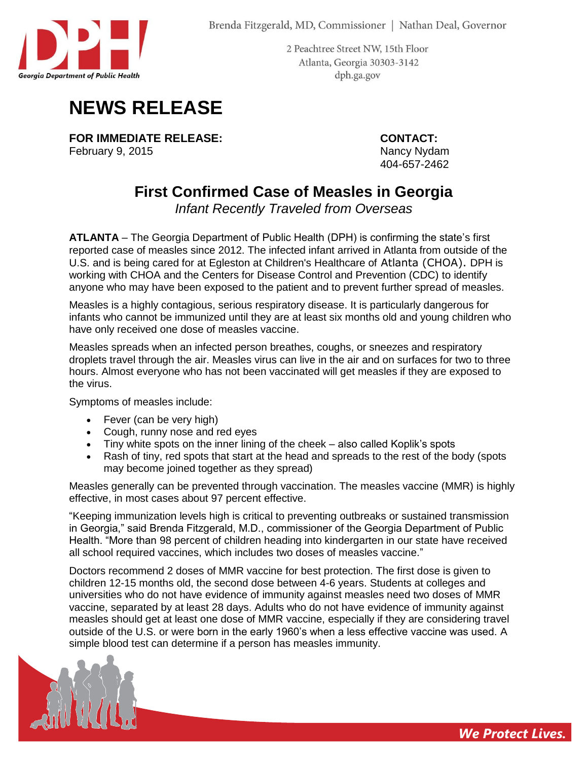

2 Peachtree Street NW, 15th Floor Atlanta, Georgia 30303-3142 dph.ga.gov

## **NEWS RELEASE**

**FOR IMMEDIATE RELEASE: CONTACT:** February 9, 2015 **Nancy Nancy Nydam** Nancy Nydam

404-657-2462

*We Protect Lives.*

## **First Confirmed Case of Measles in Georgia**

*Infant Recently Traveled from Overseas*

**ATLANTA** – The Georgia Department of Public Health (DPH) is confirming the state's first reported case of measles since 2012. The infected infant arrived in Atlanta from outside of the U.S. and is being cared for at Egleston at Children's Healthcare of Atlanta (CHOA). DPH is working with CHOA and the Centers for Disease Control and Prevention (CDC) to identify anyone who may have been exposed to the patient and to prevent further spread of measles.

Measles is a highly contagious, serious respiratory disease. It is particularly dangerous for infants who cannot be immunized until they are at least six months old and young children who have only received one dose of measles vaccine.

Measles spreads when an infected person breathes, coughs, or sneezes and respiratory droplets travel through the air. Measles virus can live in the air and on surfaces for two to three hours. Almost everyone who has not been vaccinated will get measles if they are exposed to the virus.

Symptoms of measles include:

- Fever (can be very high)
- Cough, runny nose and red eyes
- Tiny white spots on the inner lining of the cheek also called Koplik's spots
- Rash of tiny, red spots that start at the head and spreads to the rest of the body (spots may become joined together as they spread)

Measles generally can be prevented through vaccination. The measles vaccine (MMR) is highly effective, in most cases about 97 percent effective.

"Keeping immunization levels high is critical to preventing outbreaks or sustained transmission in Georgia," said Brenda Fitzgerald, M.D., commissioner of the Georgia Department of Public Health. "More than 98 percent of children heading into kindergarten in our state have received all school required vaccines, which includes two doses of measles vaccine."

Doctors recommend 2 doses of MMR vaccine for best protection. The first dose is given to children 12-15 months old, the second dose between 4-6 years. Students at colleges and universities who do not have evidence of immunity against measles need two doses of MMR vaccine, separated by at least 28 days. Adults who do not have evidence of immunity against measles should get at least one dose of MMR vaccine, especially if they are considering travel outside of the U.S. or were born in the early 1960's when a less effective vaccine was used. A simple blood test can determine if a person has measles immunity.